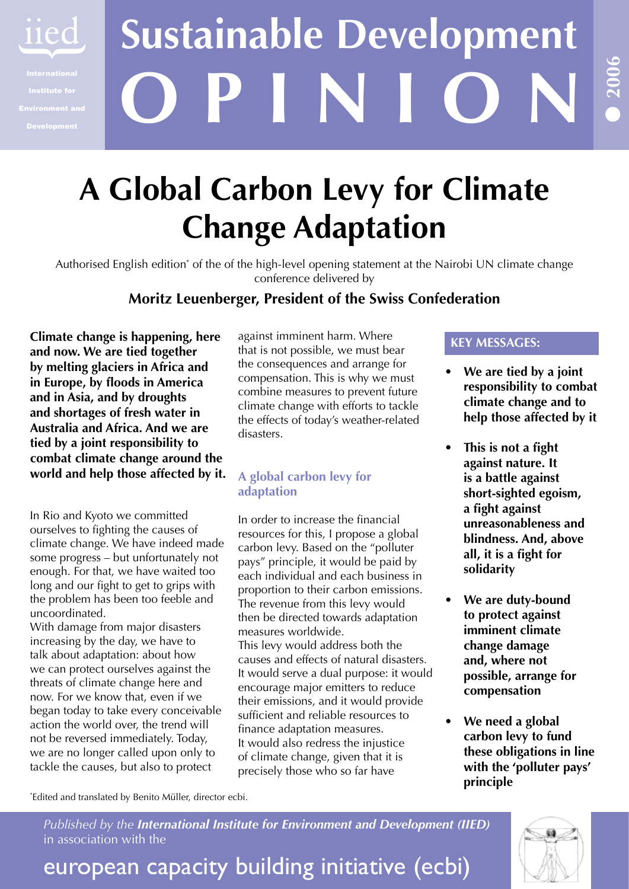

# **O P I N I O N Sustainable Development**

## **A Global Carbon Levy for Climate Change Adaptation**

Authorised English edition<sup>\*</sup> of the of the high-level opening statement at the Nairobi UN climate change conference delivered by

### **Moritz Leuenberger, President of the Swiss Confederation**

**Climate change is happening, here and now. We are tied together by melting glaciers in Africa and in Europe, by floods in America and in Asia, and by droughts and shortages of fresh water in Australia and Africa. And we are tied by a joint responsibility to combat climate change around the world and help those affected by it.**

In Rio and Kyoto we committed ourselves to fighting the causes of climate change. We have indeed made some progress – but unfortunately not enough. For that, we have waited too long and our fight to get to grips with the problem has been too feeble and uncoordinated.

With damage from major disasters increasing by the day, we have to talk about adaptation: about how we can protect ourselves against the threats of climate change here and now. For we know that, even if we began today to take every conceivable action the world over, the trend will not be reversed immediately. Today, we are no longer called upon only to tackle the causes, but also to protect

against imminent harm. Where that is not possible, we must bear the consequences and arrange for compensation. This is why we must combine measures to prevent future climate change with efforts to tackle the effects of today's weather-related disasters.

#### **A global carbon levy for adaptation**

In order to increase the financial resources for this, I propose a global carbon levy. Based on the "polluter pays" principle, it would be paid by each individual and each business in proportion to their carbon emissions. The revenue from this levy would then be directed towards adaptation measures worldwide.

This levy would address both the causes and effects of natural disasters. It would serve a dual purpose: it would encourage major emitters to reduce their emissions, and it would provide sufficient and reliable resources to finance adaptation measures. It would also redress the injustice of climate change, given that it is precisely those who so far have

#### **KEY MESSAGES:**

**We are tied by a joint responsibility to combat climate change and to help those affected by it •**

**2006**

**•**

- **This is not a fight • against nature. It is a battle against short-sighted egoism, a fight against unreasonableness and blindness. And, above all, it is a fight for solidarity**
- **We are duty-bound to protect against imminent climate change damage and, where not possible, arrange for compensation •**
- **We need a global carbon levy to fund these obligations in line with the 'polluter pays' principle •**

\* Edited and translated by Benito Müller, director ecbi.

*Published by the International Institute for Environment and Development (IIED)* in association with the

european capacity building initiative (ecbi)